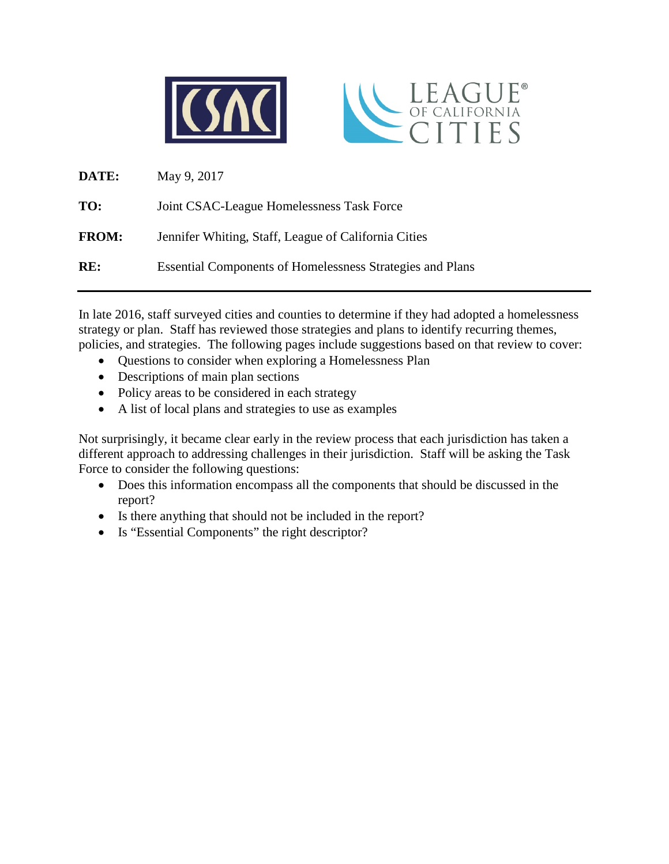



| <b>DATE:</b> | May 9, 2017                                                      |
|--------------|------------------------------------------------------------------|
| TO:          | Joint CSAC-League Homelessness Task Force                        |
| <b>FROM:</b> | Jennifer Whiting, Staff, League of California Cities             |
| RE:          | <b>Essential Components of Homelessness Strategies and Plans</b> |

In late 2016, staff surveyed cities and counties to determine if they had adopted a homelessness strategy or plan. Staff has reviewed those strategies and plans to identify recurring themes, policies, and strategies. The following pages include suggestions based on that review to cover:

- Questions to consider when exploring a Homelessness Plan
- Descriptions of main plan sections
- Policy areas to be considered in each strategy
- A list of local plans and strategies to use as examples

Not surprisingly, it became clear early in the review process that each jurisdiction has taken a different approach to addressing challenges in their jurisdiction. Staff will be asking the Task Force to consider the following questions:

- Does this information encompass all the components that should be discussed in the report?
- Is there anything that should not be included in the report?
- Is "Essential Components" the right descriptor?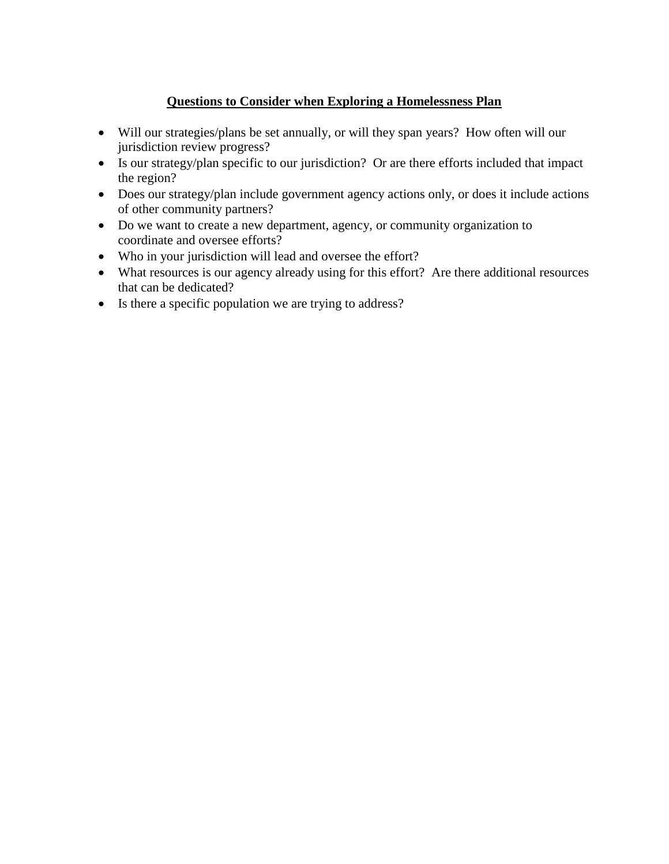# **Questions to Consider when Exploring a Homelessness Plan**

- Will our strategies/plans be set annually, or will they span years? How often will our jurisdiction review progress?
- Is our strategy/plan specific to our jurisdiction? Or are there efforts included that impact the region?
- Does our strategy/plan include government agency actions only, or does it include actions of other community partners?
- Do we want to create a new department, agency, or community organization to coordinate and oversee efforts?
- Who in your jurisdiction will lead and oversee the effort?
- What resources is our agency already using for this effort? Are there additional resources that can be dedicated?
- Is there a specific population we are trying to address?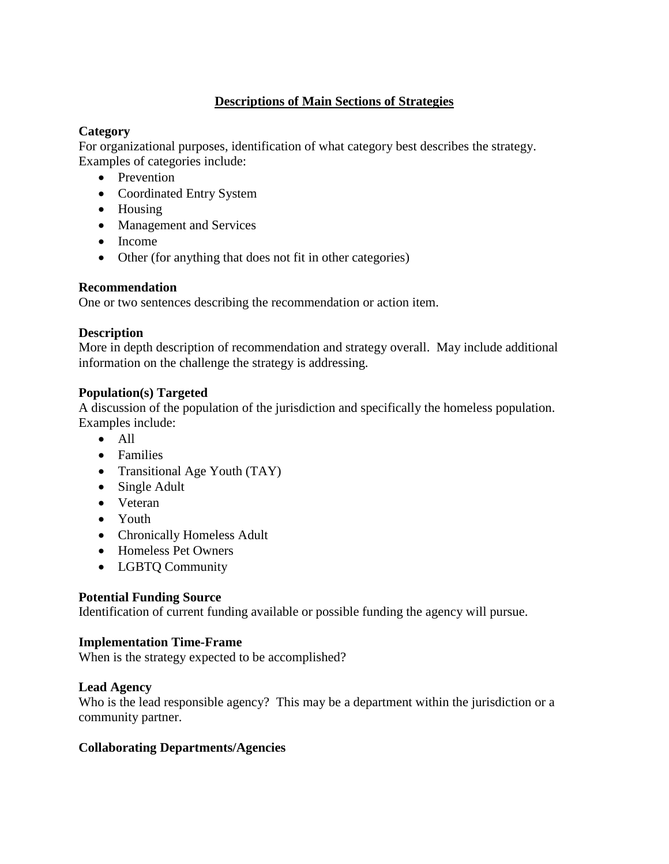# **Descriptions of Main Sections of Strategies**

## **Category**

For organizational purposes, identification of what category best describes the strategy. Examples of categories include:

- Prevention
- Coordinated Entry System
- Housing
- Management and Services
- Income
- Other (for anything that does not fit in other categories)

## **Recommendation**

One or two sentences describing the recommendation or action item.

# **Description**

More in depth description of recommendation and strategy overall. May include additional information on the challenge the strategy is addressing.

## **Population(s) Targeted**

A discussion of the population of the jurisdiction and specifically the homeless population. Examples include:

- All
- Families
- Transitional Age Youth (TAY)
- Single Adult
- Veteran
- Youth
- Chronically Homeless Adult
- Homeless Pet Owners
- LGBTQ Community

## **Potential Funding Source**

Identification of current funding available or possible funding the agency will pursue.

## **Implementation Time-Frame**

When is the strategy expected to be accomplished?

## **Lead Agency**

Who is the lead responsible agency? This may be a department within the jurisdiction or a community partner.

# **Collaborating Departments/Agencies**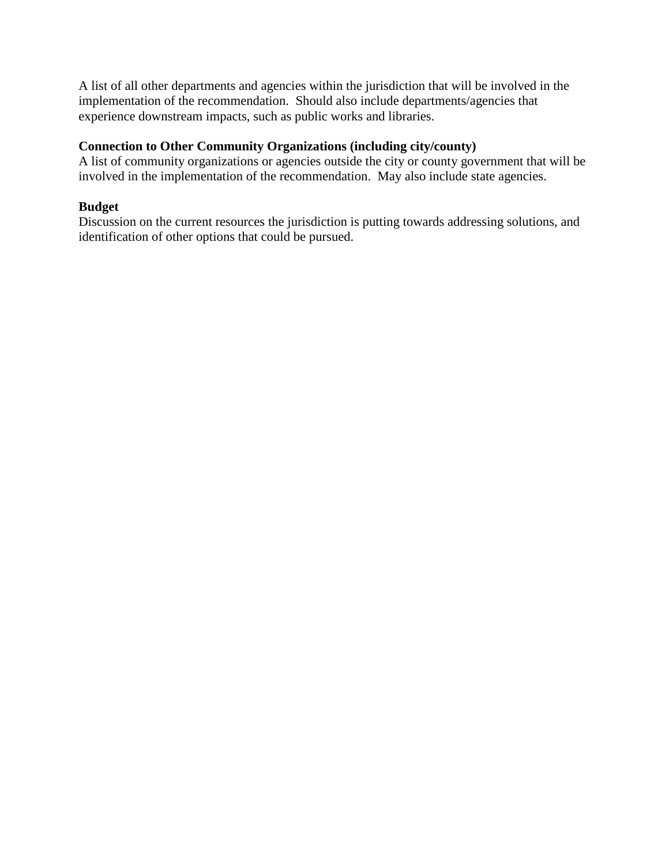A list of all other departments and agencies within the jurisdiction that will be involved in the implementation of the recommendation. Should also include departments/agencies that experience downstream impacts, such as public works and libraries.

# **Connection to Other Community Organizations (including city/county)**

A list of community organizations or agencies outside the city or county government that will be involved in the implementation of the recommendation. May also include state agencies.

### **Budget**

Discussion on the current resources the jurisdiction is putting towards addressing solutions, and identification of other options that could be pursued.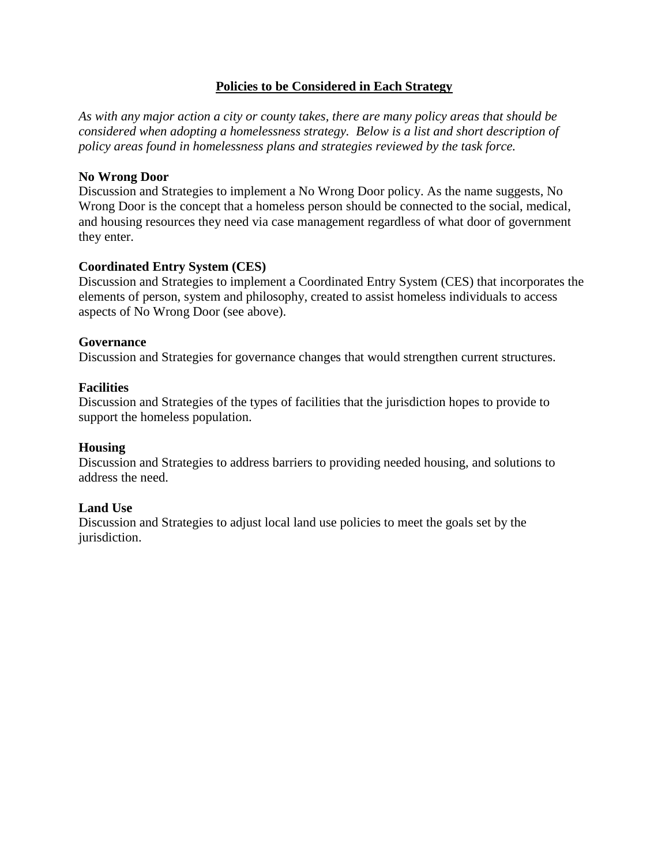### **Policies to be Considered in Each Strategy**

*As with any major action a city or county takes, there are many policy areas that should be considered when adopting a homelessness strategy. Below is a list and short description of policy areas found in homelessness plans and strategies reviewed by the task force.* 

#### **No Wrong Door**

Discussion and Strategies to implement a No Wrong Door policy. As the name suggests, No Wrong Door is the concept that a homeless person should be connected to the social, medical, and housing resources they need via case management regardless of what door of government they enter.

#### **Coordinated Entry System (CES)**

Discussion and Strategies to implement a Coordinated Entry System (CES) that incorporates the elements of person, system and philosophy, created to assist homeless individuals to access aspects of No Wrong Door (see above).

#### **Governance**

Discussion and Strategies for governance changes that would strengthen current structures.

#### **Facilities**

Discussion and Strategies of the types of facilities that the jurisdiction hopes to provide to support the homeless population.

#### **Housing**

Discussion and Strategies to address barriers to providing needed housing, and solutions to address the need.

#### **Land Use**

Discussion and Strategies to adjust local land use policies to meet the goals set by the jurisdiction.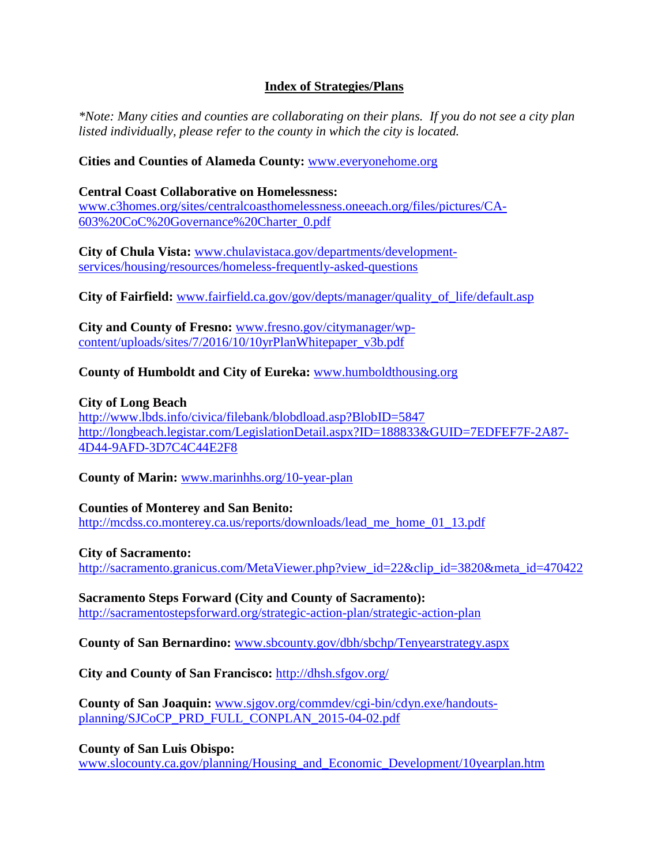### **Index of Strategies/Plans**

*\*Note: Many cities and counties are collaborating on their plans. If you do not see a city plan listed individually, please refer to the county in which the city is located.* 

#### **Cities and Counties of Alameda County:** [www.everyonehome.org](http://www.everyonehome.org/)

### **Central Coast Collaborative on Homelessness:**

[www.c3homes.org/sites/centralcoasthomelessness.oneeach.org/files/pictures/CA-](http://www.c3homes.org/sites/centralcoasthomelessness.oneeach.org/files/pictures/CA-603%20CoC%20Governance%20Charter_0.pdf)[603%20CoC%20Governance%20Charter\\_0.pdf](http://www.c3homes.org/sites/centralcoasthomelessness.oneeach.org/files/pictures/CA-603%20CoC%20Governance%20Charter_0.pdf)

**City of Chula Vista:** [www.chulavistaca.gov/departments/development](http://www.chulavistaca.gov/departments/development-services/housing/resources/homeless-frequently-asked-questions)[services/housing/resources/homeless-frequently-asked-questions](http://www.chulavistaca.gov/departments/development-services/housing/resources/homeless-frequently-asked-questions)

**City of Fairfield:** [www.fairfield.ca.gov/gov/depts/manager/quality\\_of\\_life/default.asp](http://www.fairfield.ca.gov/gov/depts/manager/quality_of_life/default.asp)

**City and County of Fresno:** [www.fresno.gov/citymanager/wp](http://www.fresno.gov/citymanager/wp-content/uploads/sites/7/2016/10/10yrPlanWhitepaper_v3b.pdf)[content/uploads/sites/7/2016/10/10yrPlanWhitepaper\\_v3b.pdf](http://www.fresno.gov/citymanager/wp-content/uploads/sites/7/2016/10/10yrPlanWhitepaper_v3b.pdf)

### **County of Humboldt and City of Eureka:** [www.humboldthousing.org](http://www.humboldthousing.org/)

### **City of Long Beach**

<http://www.lbds.info/civica/filebank/blobdload.asp?BlobID=5847> [http://longbeach.legistar.com/LegislationDetail.aspx?ID=188833&GUID=7EDFEF7F-2A87-](http://longbeach.legistar.com/LegislationDetail.aspx?ID=188833&GUID=7EDFEF7F-2A87-4D44-9AFD-3D7C4C44E2F8) [4D44-9AFD-3D7C4C44E2F8](http://longbeach.legistar.com/LegislationDetail.aspx?ID=188833&GUID=7EDFEF7F-2A87-4D44-9AFD-3D7C4C44E2F8)

**County of Marin:** [www.marinhhs.org/10-year-plan](http://www.marinhhs.org/10-year-plan)

#### **Counties of Monterey and San Benito:**

[http://mcdss.co.monterey.ca.us/reports/downloads/lead\\_me\\_home\\_01\\_13.pdf](http://mcdss.co.monterey.ca.us/reports/downloads/lead_me_home_01_13.pdf)

#### **City of Sacramento:**

[http://sacramento.granicus.com/MetaViewer.php?view\\_id=22&clip\\_id=3820&meta\\_id=470422](http://sacramento.granicus.com/MetaViewer.php?view_id=22&clip_id=3820&meta_id=470422)

**Sacramento Steps Forward (City and County of Sacramento):**  <http://sacramentostepsforward.org/strategic-action-plan/strategic-action-plan>

**County of San Bernardino:** [www.sbcounty.gov/dbh/sbchp/Tenyearstrategy.aspx](http://www.sbcounty.gov/dbh/sbchp/Tenyearstrategy.aspx)

**City and County of San Francisco:** <http://dhsh.sfgov.org/>

**County of San Joaquin:** [www.sjgov.org/commdev/cgi-bin/cdyn.exe/handouts](http://www.sjgov.org/commdev/cgi-bin/cdyn.exe/handouts-planning/SJCoCP_PRD_FULL_CONPLAN_2015-04-02.pdf)[planning/SJCoCP\\_PRD\\_FULL\\_CONPLAN\\_2015-04-02.pdf](http://www.sjgov.org/commdev/cgi-bin/cdyn.exe/handouts-planning/SJCoCP_PRD_FULL_CONPLAN_2015-04-02.pdf)

**County of San Luis Obispo:** 

[www.slocounty.ca.gov/planning/Housing\\_and\\_Economic\\_Development/10yearplan.htm](http://www.slocounty.ca.gov/planning/Housing_and_Economic_Development/10yearplan.htm)